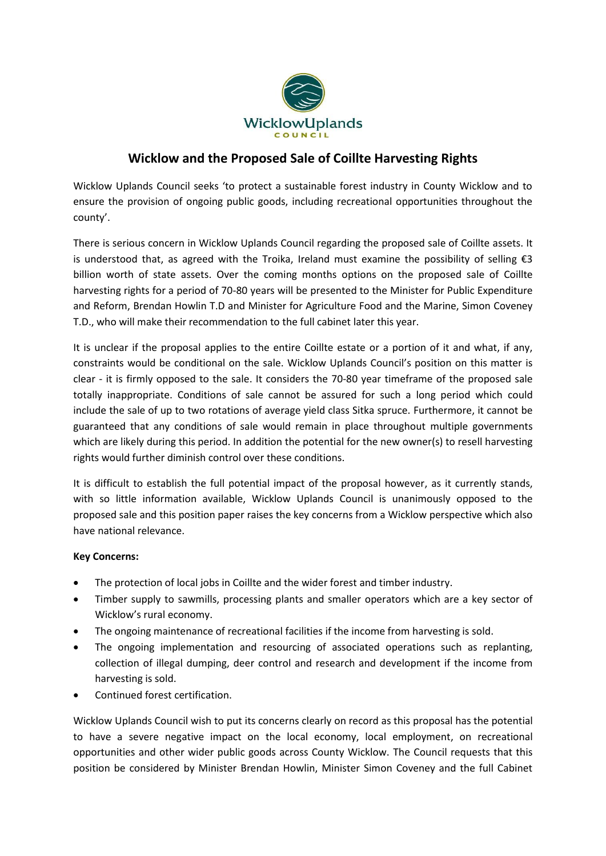

# **Wicklow and the Proposed Sale of Coillte Harvesting Rights**

Wicklow Uplands Council seeks 'to protect a sustainable forest industry in County Wicklow and to ensure the provision of ongoing public goods, including recreational opportunities throughout the county'.

There is serious concern in Wicklow Uplands Council regarding the proposed sale of Coillte assets. It is understood that, as agreed with the Troika, Ireland must examine the possibility of selling  $\epsilon$ 3 billion worth of state assets. Over the coming months options on the proposed sale of Coillte harvesting rights for a period of 70-80 years will be presented to the Minister for Public Expenditure and Reform, Brendan Howlin T.D and Minister for Agriculture Food and the Marine, Simon Coveney T.D., who will make their recommendation to the full cabinet later this year.

It is unclear if the proposal applies to the entire Coillte estate or a portion of it and what, if any, constraints would be conditional on the sale. Wicklow Uplands Council's position on this matter is clear - it is firmly opposed to the sale. It considers the 70-80 year timeframe of the proposed sale totally inappropriate. Conditions of sale cannot be assured for such a long period which could include the sale of up to two rotations of average yield class Sitka spruce. Furthermore, it cannot be guaranteed that any conditions of sale would remain in place throughout multiple governments which are likely during this period. In addition the potential for the new owner(s) to resell harvesting rights would further diminish control over these conditions.

It is difficult to establish the full potential impact of the proposal however, as it currently stands, with so little information available, Wicklow Uplands Council is unanimously opposed to the proposed sale and this position paper raises the key concerns from a Wicklow perspective which also have national relevance.

## **Key Concerns:**

- The protection of local jobs in Coillte and the wider forest and timber industry.
- Timber supply to sawmills, processing plants and smaller operators which are a key sector of Wicklow's rural economy.
- The ongoing maintenance of recreational facilities if the income from harvesting is sold.
- The ongoing implementation and resourcing of associated operations such as replanting, collection of illegal dumping, deer control and research and development if the income from harvesting is sold.
- Continued forest certification.

Wicklow Uplands Council wish to put its concerns clearly on record as this proposal has the potential to have a severe negative impact on the local economy, local employment, on recreational opportunities and other wider public goods across County Wicklow. The Council requests that this position be considered by Minister Brendan Howlin, Minister Simon Coveney and the full Cabinet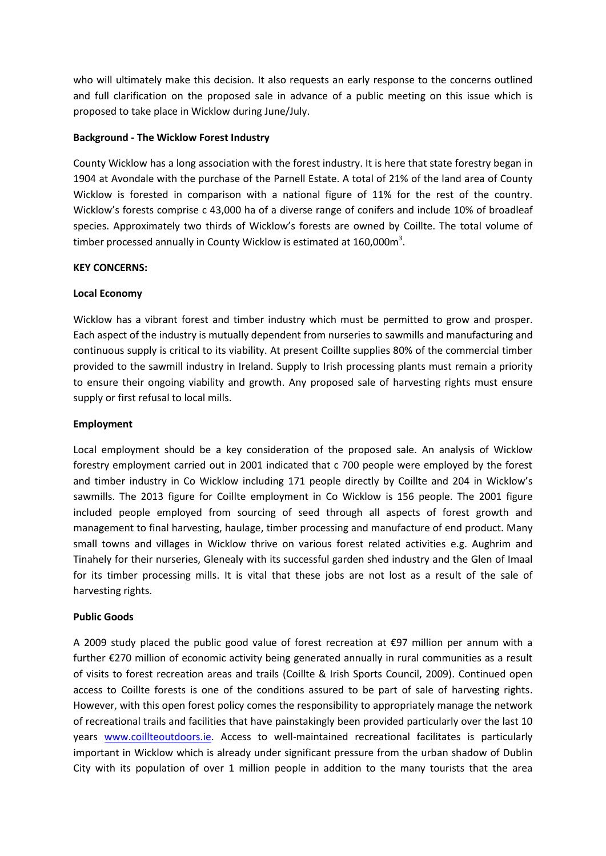who will ultimately make this decision. It also requests an early response to the concerns outlined and full clarification on the proposed sale in advance of a public meeting on this issue which is proposed to take place in Wicklow during June/July.

#### **Background - The Wicklow Forest Industry**

County Wicklow has a long association with the forest industry. It is here that state forestry began in 1904 at Avondale with the purchase of the Parnell Estate. A total of 21% of the land area of County Wicklow is forested in comparison with a national figure of 11% for the rest of the country. Wicklow's forests comprise c 43,000 ha of a diverse range of conifers and include 10% of broadleaf species. Approximately two thirds of Wicklow's forests are owned by Coillte. The total volume of timber processed annually in County Wicklow is estimated at 160,000 $m^3$ .

## **KEY CONCERNS:**

## **Local Economy**

Wicklow has a vibrant forest and timber industry which must be permitted to grow and prosper. Each aspect of the industry is mutually dependent from nurseries to sawmills and manufacturing and continuous supply is critical to its viability. At present Coillte supplies 80% of the commercial timber provided to the sawmill industry in Ireland. Supply to Irish processing plants must remain a priority to ensure their ongoing viability and growth. Any proposed sale of harvesting rights must ensure supply or first refusal to local mills.

### **Employment**

Local employment should be a key consideration of the proposed sale. An analysis of Wicklow forestry employment carried out in 2001 indicated that c 700 people were employed by the forest and timber industry in Co Wicklow including 171 people directly by Coillte and 204 in Wicklow's sawmills. The 2013 figure for Coillte employment in Co Wicklow is 156 people. The 2001 figure included people employed from sourcing of seed through all aspects of forest growth and management to final harvesting, haulage, timber processing and manufacture of end product. Many small towns and villages in Wicklow thrive on various forest related activities e.g. Aughrim and Tinahely for their nurseries, Glenealy with its successful garden shed industry and the Glen of Imaal for its timber processing mills. It is vital that these jobs are not lost as a result of the sale of harvesting rights.

### **Public Goods**

A 2009 study placed the public good value of forest recreation at €97 million per annum with a further €270 million of economic activity being generated annually in rural communities as a result of visits to forest recreation areas and trails (Coillte & Irish Sports Council, 2009). Continued open access to Coillte forests is one of the conditions assured to be part of sale of harvesting rights. However, with this open forest policy comes the responsibility to appropriately manage the network of recreational trails and facilities that have painstakingly been provided particularly over the last 10 years [www.coillteoutdoors.ie.](http://www.coillteoutdoors.ie/) Access to well-maintained recreational facilitates is particularly important in Wicklow which is already under significant pressure from the urban shadow of Dublin City with its population of over 1 million people in addition to the many tourists that the area